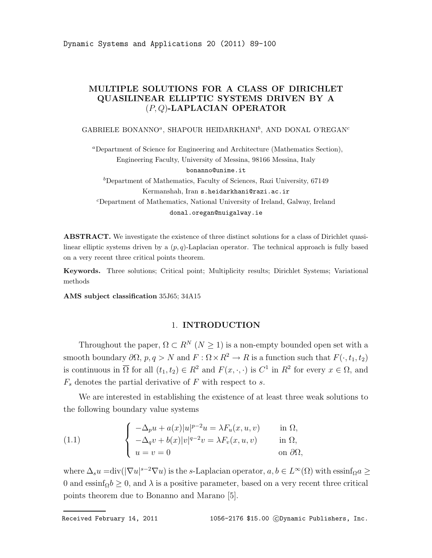Dynamic Systems and Applications 20 (2011) 89-100

# MULTIPLE SOLUTIONS FOR A CLASS OF DIRICHLET QUASILINEAR ELLIPTIC SYSTEMS DRIVEN BY A (P, Q)-LAPLACIAN OPERATOR

### GABRIELE BONANNO<sup>a</sup>, SHAPOUR HEIDARKHANI<sup>b</sup>, AND DONAL O'REGAN<sup>c</sup>

<sup>a</sup>Department of Science for Engineering and Architecture (Mathematics Section), Engineering Faculty, University of Messina, 98166 Messina, Italy bonanno@unime.it

 $b$ Department of Mathematics, Faculty of Sciences, Razi University, 67149 Kermanshah, Iran s.heidarkhani@razi.ac.ir <sup>c</sup>Department of Mathematics, National University of Ireland, Galway, Ireland donal.oregan@nuigalway.ie

ABSTRACT. We investigate the existence of three distinct solutions for a class of Dirichlet quasilinear elliptic systems driven by a  $(p, q)$ -Laplacian operator. The technical approach is fully based on a very recent three critical points theorem.

Keywords. Three solutions; Critical point; Multiplicity results; Dirichlet Systems; Variational methods

AMS subject classification 35J65; 34A15

## 1. INTRODUCTION

Throughout the paper,  $\Omega \subset R^N$  ( $N \geq 1$ ) is a non-empty bounded open set with a smooth boundary  $\partial\Omega$ ,  $p, q > N$  and  $F : \Omega \times \mathbb{R}^2 \to \mathbb{R}$  is a function such that  $F(\cdot, t_1, t_2)$ is continuous in  $\overline{\Omega}$  for all  $(t_1, t_2) \in R^2$  and  $F(x, \cdot, \cdot)$  is  $C^1$  in  $R^2$  for every  $x \in \Omega$ , and  $F_s$  denotes the partial derivative of F with respect to s.

We are interested in establishing the existence of at least three weak solutions to the following boundary value systems

(1.1) 
$$
\begin{cases}\n-\Delta_p u + a(x)|u|^{p-2}u = \lambda F_u(x, u, v) & \text{in } \Omega, \\
-\Delta_q v + b(x)|v|^{q-2}v = \lambda F_v(x, u, v) & \text{in } \Omega, \\
u = v = 0 & \text{on } \partial\Omega,\n\end{cases}
$$

where  $\Delta_s u = \text{div}(|\nabla u|^{s-2} \nabla u)$  is the s-Laplacian operator,  $a, b \in L^{\infty}(\Omega)$  with  $\text{essinf}_{\Omega} a \ge$ 0 and essinf<sub>Ω</sub> $b \geq 0$ , and  $\lambda$  is a positive parameter, based on a very recent three critical points theorem due to Bonanno and Marano [5].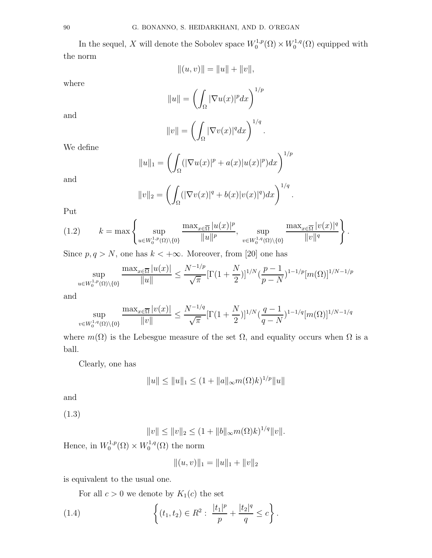In the sequel, X will denote the Sobolev space  $W_0^{1,p}$  $V_0^{1,p}(\Omega) \times W_0^{1,q}$  $C_0^{1,q}(\Omega)$  equipped with the norm

$$
|| (u, v) || = ||u|| + ||v||,
$$

where

$$
||u|| = \left(\int_{\Omega} |\nabla u(x)|^p dx\right)^{1/p}
$$

and

$$
||v|| = \left(\int_{\Omega} |\nabla v(x)|^q dx\right)^{1/q}.
$$

We define

$$
||u||_1 = \left(\int_{\Omega} (|\nabla u(x)|^p + a(x)|u(x)|^p) dx\right)^{1/p}
$$

and

$$
||v||_2 = \left(\int_{\Omega} (|\nabla v(x)|^q + b(x)|v(x)|^q) dx\right)^{1/q}.
$$

Put

$$
(1.2) \t k = \max \left\{ \sup_{u \in W_0^{1,p}(\Omega) \setminus \{0\}} \frac{\max_{x \in \overline{\Omega}} |u(x)|^p}{\|u\|^p}, \sup_{v \in W_0^{1,q}(\Omega) \setminus \{0\}} \frac{\max_{x \in \overline{\Omega}} |v(x)|^q}{\|v\|^q} \right\}.
$$

Since  $p, q > N$ , one has  $k < +\infty$ . Moreover, from [20] one has

$$
\sup_{u \in W_0^{1,p}(\Omega) \setminus \{0\}} \frac{\max_{x \in \overline{\Omega}} |u(x)|}{\|u\|} \le \frac{N^{-1/p}}{\sqrt{\pi}} [\Gamma(1+\frac{N}{2})]^{1/N} (\frac{p-1}{p-N})^{1-1/p} [m(\Omega)]^{1/N-1/p}
$$

and

$$
\sup_{v \in W_0^{1,q}(\Omega) \backslash \{0\}} \frac{\max_{x \in \overline{\Omega}} |v(x)|}{\|v\|} \le \frac{N^{-1/q}}{\sqrt{\pi}} [\Gamma(1+\frac{N}{2})]^{1/N} (\frac{q-1}{q-N})^{1-1/q} [m(\Omega)]^{1/N-1/q}
$$

where  $m(\Omega)$  is the Lebesgue measure of the set  $\Omega$ , and equality occurs when  $\Omega$  is a ball.

Clearly, one has

$$
||u|| \le ||u||_1 \le (1 + ||a||_{\infty} m(\Omega)k)^{1/p} ||u||
$$

and

(1.3)

 $||v|| \le ||v||_2 \le (1 + ||b||_{\infty} m(\Omega)k)^{1/q} ||v||.$ 

Hence, in  $W_0^{1,p}$  $V_0^{1,p}(\Omega) \times W_0^{1,q}$  $C_0^{1,q}(\Omega)$  the norm

$$
||(u, v)||_1 = ||u||_1 + ||v||_2
$$

is equivalent to the usual one.

For all  $c > 0$  we denote by  $K_1(c)$  the set

(1.4) 
$$
\left\{ (t_1, t_2) \in R^2 : \frac{|t_1|^p}{p} + \frac{|t_2|^q}{q} \le c \right\}.
$$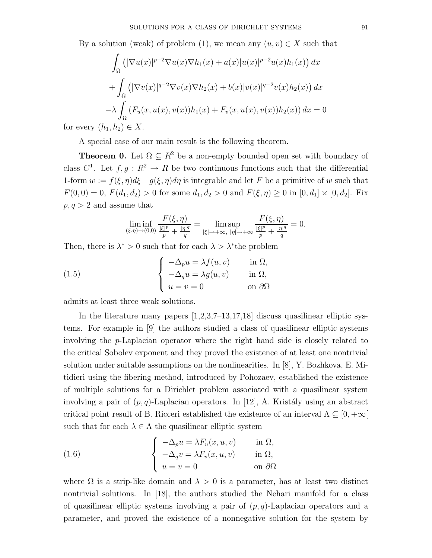By a solution (weak) of problem (1), we mean any  $(u, v) \in X$  such that

$$
\int_{\Omega} \left( |\nabla u(x)|^{p-2} \nabla u(x) \nabla h_1(x) + a(x)|u(x)|^{p-2} u(x) h_1(x) \right) dx
$$
  
+ 
$$
\int_{\Omega} \left( |\nabla v(x)|^{q-2} \nabla v(x) \nabla h_2(x) + b(x)|v(x)|^{q-2} v(x) h_2(x) \right) dx
$$
  
- 
$$
\lambda \int_{\Omega} \left( F_u(x, u(x), v(x)) h_1(x) + F_v(x, u(x), v(x)) h_2(x) \right) dx = 0
$$
  
[*b*], *b*<sub>0</sub>]  $\in X$ 

for every  $(h_1, h_2) \in X$ .

A special case of our main result is the following theorem.

**Theorem 0.** Let  $\Omega \subseteq R^2$  be a non-empty bounded open set with boundary of class  $C^1$ . Let  $f, g: R^2 \to R$  be two continuous functions such that the differential 1-form  $w := f(\xi, \eta)d\xi + g(\xi, \eta)d\eta$  is integrable and let F be a primitive of w such that  $F(0, 0) = 0$ ,  $F(d_1, d_2) > 0$  for some  $d_1, d_2 > 0$  and  $F(\xi, \eta) \ge 0$  in  $[0, d_1] \times [0, d_2]$ . Fix  $p, q > 2$  and assume that

$$
\liminf_{(\xi,\eta)\to(0,0)}\frac{F(\xi,\eta)}{\frac{|\xi|^p}{p}+\frac{|\eta|^q}{q}}=\limsup_{|\xi|\to+\infty,\ |\eta|\to+\infty}\frac{F(\xi,\eta)}{\frac{|\xi|^p}{p}+\frac{|\eta|^q}{q}}=0.
$$

Then, there is  $\lambda^* > 0$  such that for each  $\lambda > \lambda^*$  the problem

(1.5) 
$$
\begin{cases}\n-\Delta_p u = \lambda f(u, v) & \text{in } \Omega, \\
-\Delta_q u = \lambda g(u, v) & \text{in } \Omega, \\
u = v = 0 & \text{on } \partial\Omega\n\end{cases}
$$

admits at least three weak solutions.

In the literature many papers  $|1,2,3,7-13,17,18|$  discuss quasilinear elliptic systems. For example in [9] the authors studied a class of quasilinear elliptic systems involving the p-Laplacian operator where the right hand side is closely related to the critical Sobolev exponent and they proved the existence of at least one nontrivial solution under suitable assumptions on the nonlinearities. In [8], Y. Bozhkova, E. Mitidieri using the fibering method, introduced by Pohozaev, established the existence of multiple solutions for a Dirichlet problem associated with a quasilinear system involving a pair of  $(p, q)$ -Laplacian operators. In [12], A. Kristály using an abstract critical point result of B. Ricceri established the existence of an interval  $\Lambda \subseteq [0, +\infty[$ such that for each  $\lambda \in \Lambda$  the quasilinear elliptic system

(1.6) 
$$
\begin{cases}\n-\Delta_p u = \lambda F_u(x, u, v) & \text{in } \Omega, \\
-\Delta_q v = \lambda F_v(x, u, v) & \text{in } \Omega, \\
u = v = 0 & \text{on } \partial\Omega\n\end{cases}
$$

where  $\Omega$  is a strip-like domain and  $\lambda > 0$  is a parameter, has at least two distinct nontrivial solutions. In [18], the authors studied the Nehari manifold for a class of quasilinear elliptic systems involving a pair of  $(p, q)$ -Laplacian operators and a parameter, and proved the existence of a nonnegative solution for the system by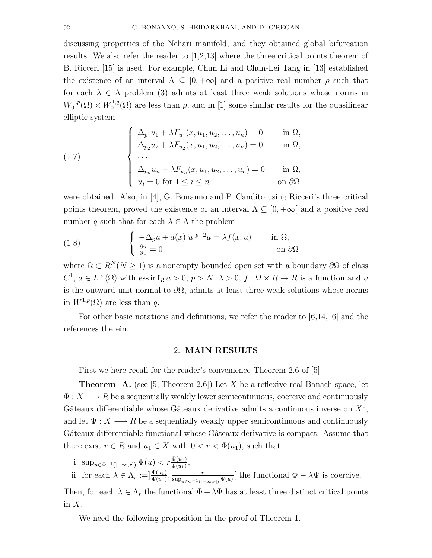discussing properties of the Nehari manifold, and they obtained global bifurcation results. We also refer the reader to [1,2,13] where the three critical points theorem of B. Ricceri [15] is used. For example, Chun Li and Chun-Lei Tang in [13] established the existence of an interval  $\Lambda \subseteq [0, +\infty]$  and a positive real number  $\rho$  such that for each  $\lambda \in \Lambda$  problem (3) admits at least three weak solutions whose norms in  $W_0^{1,p}$  $V_0^{1,p}(\Omega) \times W_0^{1,q}$  $\int_0^{1,q}(\Omega)$  are less than  $\rho$ , and in [1] some similar results for the quasilinear elliptic system

(1.7) 
$$
\begin{cases} \Delta_{p_1} u_1 + \lambda F_{u_1}(x, u_1, u_2, \dots, u_n) = 0 & \text{in } \Omega, \\ \Delta_{p_2} u_2 + \lambda F_{u_2}(x, u_1, u_2, \dots, u_n) = 0 & \text{in } \Omega, \\ \dots \\ \Delta_{p_n} u_n + \lambda F_{u_n}(x, u_1, u_2, \dots, u_n) = 0 & \text{in } \Omega, \\ u_i = 0 \text{ for } 1 \leq i \leq n & \text{on } \partial\Omega \end{cases}
$$

were obtained. Also, in [4], G. Bonanno and P. Candito using Ricceri's three critical points theorem, proved the existence of an interval  $\Lambda \subseteq [0, +\infty]$  and a positive real number q such that for each  $\lambda \in \Lambda$  the problem

(1.8) 
$$
\begin{cases} -\Delta_p u + a(x)|u|^{p-2}u = \lambda f(x,u) & \text{in } \Omega, \\ \frac{\partial u}{\partial v} = 0 & \text{on } \partial\Omega \end{cases}
$$

where  $\Omega \subset R^N(N \geq 1)$  is a nonempty bounded open set with a boundary  $\partial \Omega$  of class  $C^1$ ,  $a \in L^{\infty}(\Omega)$  with ess inf<sub>Ω</sub>  $a > 0$ ,  $p > N$ ,  $\lambda > 0$ ,  $f : \Omega \times R \to R$  is a function and v is the outward unit normal to  $\partial\Omega$ , admits at least three weak solutions whose norms in  $W^{1,p}(\Omega)$  are less than q.

For other basic notations and definitions, we refer the reader to [6,14,16] and the references therein.

#### 2. MAIN RESULTS

First we here recall for the reader's convenience Theorem 2.6 of [5].

**Theorem A.** (see [5, Theorem 2.6]) Let X be a reflexive real Banach space, let  $\Phi: X \longrightarrow R$  be a sequentially weakly lower semicontinuous, coercive and continuously Gâteaux differentiable whose Gâteaux derivative admits a continuous inverse on  $X^*$ , and let  $\Psi: X \longrightarrow R$  be a sequentially weakly upper semicontinuous and continuously Gâteaux differentiable functional whose Gâteaux derivative is compact. Assume that there exist  $r \in R$  and  $u_1 \in X$  with  $0 < r < \Phi(u_1)$ , such that

i. sup<sub>u∈</sub> $_{\Phi^{-1}(]-\infty,r]}$   $\Psi(u) < r\frac{\Psi(u_1)}{\Phi(u_1)}$ ,

ii. for each  $\lambda \in \Lambda_r := ]\frac{\Phi(u_1)}{\Psi(u_1)}, \frac{r}{\sup_{u \in \Phi^{-1}(]} }$  $\frac{r}{\sup_{u \in \Phi^{-1}(]-\infty,r])} \Psi(u)}$  the functional  $\Phi - \lambda \Psi$  is coercive. Then, for each  $\lambda \in \Lambda_r$  the functional  $\Phi - \lambda \Psi$  has at least three distinct critical points in  $X$ .

We need the following proposition in the proof of Theorem 1.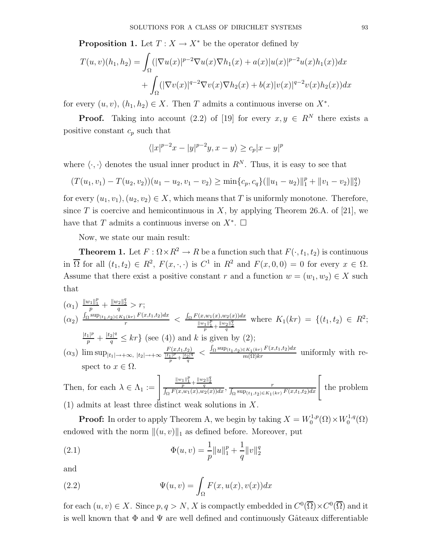**Proposition 1.** Let  $T : X \to X^*$  be the operator defined by

$$
T(u, v)(h_1, h_2) = \int_{\Omega} (|\nabla u(x)|^{p-2} \nabla u(x) \nabla h_1(x) + a(x)|u(x)|^{p-2} u(x)h_1(x)) dx + \int_{\Omega} (|\nabla v(x)|^{q-2} \nabla v(x) \nabla h_2(x) + b(x)|v(x)|^{q-2} v(x)h_2(x)) dx
$$

for every  $(u, v)$ ,  $(h_1, h_2) \in X$ . Then T admits a continuous inverse on  $X^*$ .

**Proof.** Taking into account (2.2) of [19] for every  $x, y \in \mathbb{R}^N$  there exists a positive constant  $c_p$  such that

$$
\langle |x|^{p-2}x - |y|^{p-2}y, x - y \rangle \ge c_p |x - y|^p
$$

where  $\langle \cdot, \cdot \rangle$  denotes the usual inner product in  $R^N$ . Thus, it is easy to see that

$$
(T(u_1, v_1) - T(u_2, v_2))(u_1 - u_2, v_1 - v_2) \ge \min\{c_p, c_q\}(\|u_1 - u_2\|_1^p + \|v_1 - v_2\|_2^q)
$$

for every  $(u_1, v_1), (u_2, v_2) \in X$ , which means that T is uniformly monotone. Therefore, since T is coercive and hemicontinuous in X, by applying Theorem 26.A. of [21], we have that T admits a continuous inverse on  $X^*$ .  $\Box$ 

Now, we state our main result:

**Theorem 1.** Let  $F : \Omega \times \mathbb{R}^2 \to \mathbb{R}$  be a function such that  $F(\cdot, t_1, t_2)$  is continuous in  $\overline{\Omega}$  for all  $(t_1, t_2) \in R^2$ ,  $F(x, \cdot, \cdot)$  is  $C^1$  in  $R^2$  and  $F(x, 0, 0) = 0$  for every  $x \in \Omega$ . Assume that there exist a positive constant r and a function  $w = (w_1, w_2) \in X$  such that

$$
\begin{array}{lll}\n(\alpha_1) & \frac{\|w_1\|_1^p}{p} + \frac{\|w_2\|_2^q}{q} > r; \\
(\alpha_2) & \frac{\int_{\Omega} \sup_{(t_1, t_2) \in K_1(kr)} F(x, t_1, t_2) dx}{r} < \frac{\int_{\Omega} F(x, w_1(x), w_2(x)) dx}{\frac{\|w_1\|_1^p}{p} + \frac{\|w_2\|_2^q}{q}} \text{ where } K_1(kr) = \{(t_1, t_2) \in R^2; \\
& \frac{|t_1|^p}{p} + \frac{|t_2|^q}{q} \le kr\} \text{ (see (4)) and } k \text{ is given by (2);} \\
(\alpha_3) & \limsup_{|t_1| \to +\infty} |t_2| \to +\infty \frac{\frac{F(x, t_1, t_2)}{|t_1|^p} + \frac{|t_2|^q}{q}}{r} < \frac{\int_{\Omega} \sup_{(t_1, t_2) \in K_1(kr)} F(x, t_1, t_2) dx}{m(\Omega)kr} \text{ uniformly with respect to } x \in \Omega.\n\end{array}
$$

Then, for each 
$$
\lambda \in \Lambda_1 := \left] \frac{\frac{\|w_1\|_1^p}{p} + \frac{\|w_2\|_2^q}{q}}{\int_{\Omega} F(x, w_1(x), w_2(x)) dx}, \frac{r}{\int_{\Omega} \sup_{(t_1, t_2) \in K_1(kr)} F(x, t_1, t_2) dx} \right[
$$
 the problem (1) admits at least three distinct weak solutions in X.

**Proof:** In order to apply Theorem A, we begin by taking  $X = W_0^{1,p}$  $V_0^{1,p}(\Omega) \times W_0^{1,q}$  $\zeta^{1,q}_0(\Omega)$ endowed with the norm  $\|(u, v)\|_1$  as defined before. Moreover, put

(2.1) 
$$
\Phi(u,v) = \frac{1}{p} ||u||_1^p + \frac{1}{q} ||v||_2^q
$$

and

(2.2) 
$$
\Psi(u,v) = \int_{\Omega} F(x, u(x), v(x)) dx
$$

for each  $(u, v) \in X$ . Since  $p, q > N$ , X is compactly embedded in  $C^0(\overline{\Omega}) \times C^0(\overline{\Omega})$  and it is well known that  $\Phi$  and  $\Psi$  are well defined and continuously Gâteaux differentiable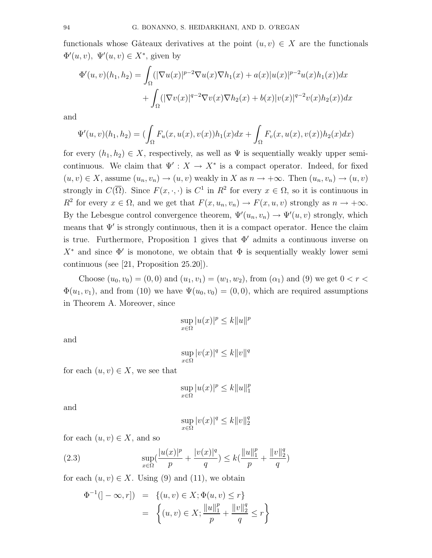functionals whose Gâteaux derivatives at the point  $(u, v) \in X$  are the functionals  $\Phi'(u, v), \ \Psi'(u, v) \in X^*$ , given by

$$
\Phi'(u,v)(h_1,h_2) = \int_{\Omega} (|\nabla u(x)|^{p-2} \nabla u(x) \nabla h_1(x) + a(x)|u(x)|^{p-2} u(x)h_1(x)) dx \n+ \int_{\Omega} (|\nabla v(x)|^{q-2} \nabla v(x) \nabla h_2(x) + b(x)|v(x)|^{q-2} v(x)h_2(x)) dx
$$

and

$$
\Psi'(u,v)(h_1,h_2) = (\int_{\Omega} F_u(x,u(x),v(x))h_1(x)dx + \int_{\Omega} F_v(x,u(x),v(x))h_2(x)dx)
$$

for every  $(h_1, h_2) \in X$ , respectively, as well as  $\Psi$  is sequentially weakly upper semicontinuous. We claim that  $\Psi' : X \to X^*$  is a compact operator. Indeed, for fixed  $(u, v) \in X$ , assume  $(u_n, v_n) \to (u, v)$  weakly in X as  $n \to +\infty$ . Then  $(u_n, v_n) \to (u, v)$ strongly in  $C(\overline{\Omega})$ . Since  $F(x, \cdot, \cdot)$  is  $C^1$  in  $R^2$  for every  $x \in \Omega$ , so it is continuous in  $R^2$  for every  $x \in \Omega$ , and we get that  $F(x, u_n, v_n) \to F(x, u, v)$  strongly as  $n \to +\infty$ . By the Lebesgue control convergence theorem,  $\Psi'(u_n, v_n) \to \Psi'(u, v)$  strongly, which means that  $\Psi'$  is strongly continuous, then it is a compact operator. Hence the claim is true. Furthermore, Proposition 1 gives that  $\Phi'$  admits a continuous inverse on  $X^*$  and since  $\Phi'$  is monotone, we obtain that  $\Phi$  is sequentially weakly lower semi continuous (see [21, Proposition 25.20]).

Choose  $(u_0, v_0) = (0, 0)$  and  $(u_1, v_1) = (w_1, w_2)$ , from  $(\alpha_1)$  and  $(9)$  we get  $0 < r <$  $\Phi(u_1, v_1)$ , and from (10) we have  $\Psi(u_0, v_0) = (0, 0)$ , which are required assumptions in Theorem A. Moreover, since

$$
\sup_{x \in \Omega} |u(x)|^p \le k \|u\|^p
$$

and

$$
\sup_{x \in \Omega} |v(x)|^q \le k \|v\|^q
$$

for each  $(u, v) \in X$ , we see that

$$
\sup_{x \in \Omega} |u(x)|^p \le k \|u\|_1^p
$$

and

$$
\sup_{x\in\Omega}|v(x)|^q\leq k\|v\|_2^q
$$

for each  $(u, v) \in X$ , and so

(2.3) 
$$
\sup_{x \in \Omega} \left( \frac{|u(x)|^p}{p} + \frac{|v(x)|^q}{q} \right) \le k \left( \frac{\|u\|_1^p}{p} + \frac{\|v\|_2^q}{q} \right)
$$

for each  $(u, v) \in X$ . Using (9) and (11), we obtain

$$
\Phi^{-1}([-\infty, r]) = \{(u, v) \in X; \Phi(u, v) \le r\}
$$
  
= 
$$
\{(u, v) \in X; \frac{||u||_1^p}{p} + \frac{||v||_2^q}{q} \le r\}
$$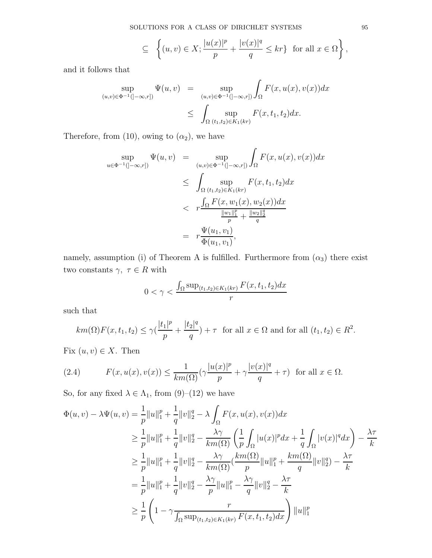$$
\subseteq \left\{ (u,v) \in X; \frac{|u(x)|^p}{p} + \frac{|v(x)|^q}{q} \le kr \right\} \text{ for all } x \in \Omega \right\},
$$

and it follows that

$$
\sup_{(u,v)\in\Phi^{-1}(]-\infty,r])} \Psi(u,v) = \sup_{(u,v)\in\Phi^{-1}(]-\infty,r])} \int_{\Omega} F(x,u(x),v(x))dx
$$
  

$$
\leq \int_{\Omega} \sup_{(t_1,t_2)\in K_1(kr)} F(x,t_1,t_2)dx.
$$

Therefore, from (10), owing to  $(\alpha_2)$ , we have

$$
\sup_{u \in \Phi^{-1}(]-\infty,r])} \Psi(u,v) = \sup_{(u,v) \in \Phi^{-1}(]-\infty,r])} \int_{\Omega} F(x, u(x), v(x)) dx
$$
  
\n
$$
\leq \int_{\Omega} \sup_{(t_1,t_2) \in K_1(kr)} F(x, t_1, t_2) dx
$$
  
\n
$$
< r \frac{\int_{\Omega} F(x, w_1(x), w_2(x)) dx}{\frac{\|w_1\|_1^p}{p} + \frac{\|w_2\|_2^q}{q}}
$$
  
\n
$$
= r \frac{\Psi(u_1, v_1)}{\Phi(u_1, v_1)},
$$

namely, assumption (i) of Theorem A is fulfilled. Furthermore from  $(\alpha_3)$  there exist two constants  $\gamma,~\tau \in R$  with

$$
0 < \gamma < \frac{\int_{\Omega} \sup_{(t_1, t_2) \in K_1(kr)} F(x, t_1, t_2) dx}{r}
$$

such that

$$
km(\Omega)F(x,t_1,t_2) \le \gamma \left(\frac{|t_1|^p}{p} + \frac{|t_2|^q}{q}\right) + \tau \quad \text{for all } x \in \Omega \text{ and for all } (t_1,t_2) \in R^2.
$$

Fix  $(u, v) \in X$ . Then

(2.4) 
$$
F(x, u(x), v(x)) \leq \frac{1}{km(\Omega)} (\gamma \frac{|u(x)|^p}{p} + \gamma \frac{|v(x)|^q}{q} + \tau) \text{ for all } x \in \Omega.
$$

So, for any fixed  $\lambda \in \Lambda_1$ , from  $(9)-(12)$  we have

$$
\Phi(u, v) - \lambda \Psi(u, v) = \frac{1}{p} ||u||_1^p + \frac{1}{q} ||v||_2^q - \lambda \int_{\Omega} F(x, u(x), v(x)) dx
$$
  
\n
$$
\geq \frac{1}{p} ||u||_1^p + \frac{1}{q} ||v||_2^q - \frac{\lambda \gamma}{km(\Omega)} \left( \frac{1}{p} \int_{\Omega} |u(x)|^p dx + \frac{1}{q} \int_{\Omega} |v(x)|^q dx \right) - \frac{\lambda \tau}{k}
$$
  
\n
$$
\geq \frac{1}{p} ||u||_1^p + \frac{1}{q} ||v||_2^q - \frac{\lambda \gamma}{km(\Omega)} \left( \frac{km(\Omega)}{p} ||u||_1^p + \frac{km(\Omega)}{q} ||v||_2^q \right) - \frac{\lambda \tau}{k}
$$
  
\n
$$
= \frac{1}{p} ||u||_1^p + \frac{1}{q} ||v||_2^q - \frac{\lambda \gamma}{p} ||u||_1^p - \frac{\lambda \gamma}{q} ||v||_2^q - \frac{\lambda \tau}{k}
$$
  
\n
$$
\geq \frac{1}{p} \left( 1 - \gamma \frac{r}{\int_{\Omega} \sup_{(t_1, t_2) \in K_1(kr)} F(x, t_1, t_2) dx} \right) ||u||_1^p
$$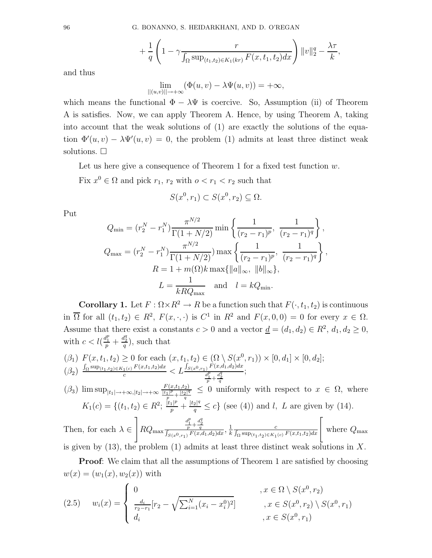$$
+ \frac{1}{q} \left( 1 - \gamma \frac{r}{\int_{\Omega} \sup_{(t_1, t_2) \in K_1(kr)} F(x, t_1, t_2) dx} \right) \|v\|_2^q - \frac{\lambda \tau}{k},
$$

and thus

$$
\lim_{||(u,v)||\to+\infty} (\Phi(u,v) - \lambda \Psi(u,v)) = +\infty,
$$

which means the functional  $\Phi - \lambda \Psi$  is coercive. So, Assumption (ii) of Theorem A is satisfies. Now, we can apply Theorem A. Hence, by using Theorem A, taking into account that the weak solutions of (1) are exactly the solutions of the equation  $\Phi'(u, v) - \lambda \Psi'(u, v) = 0$ , the problem (1) admits at least three distinct weak solutions.  $\Box$ 

Let us here give a consequence of Theorem 1 for a fixed test function  $w$ .

Fix  $x^0 \in \Omega$  and pick  $r_1, r_2$  with  $o < r_1 < r_2$  such that

$$
S(x^0, r_1) \subset S(x^0, r_2) \subseteq \Omega.
$$

Put

$$
Q_{\min} = (r_2^N - r_1^N) \frac{\pi^{N/2}}{\Gamma(1 + N/2)} \min \left\{ \frac{1}{(r_2 - r_1)^p}, \frac{1}{(r_2 - r_1)^q} \right\},
$$
  

$$
Q_{\max} = (r_2^N - r_1^N) \frac{\pi^{N/2}}{\Gamma(1 + N/2)} \max \left\{ \frac{1}{(r_2 - r_1)^p}, \frac{1}{(r_2 - r_1)^q} \right\},
$$
  

$$
R = 1 + m(\Omega)k \max \{ ||a||_{\infty}, ||b||_{\infty} \},
$$
  

$$
L = \frac{1}{kRQ_{\max}} \text{ and } l = kQ_{\min}.
$$

**Corollary 1.** Let  $F : \Omega \times \mathbb{R}^2 \to \mathbb{R}$  be a function such that  $F(\cdot, t_1, t_2)$  is continuous in  $\overline{\Omega}$  for all  $(t_1, t_2) \in R^2$ ,  $F(x, \cdot, \cdot)$  is  $C^1$  in  $R^2$  and  $F(x, 0, 0) = 0$  for every  $x \in \Omega$ . Assume that there exist a constants  $c > 0$  and a vector  $\underline{d} = (d_1, d_2) \in R^2$ ,  $d_1, d_2 \ge 0$ , with  $c < l(\frac{d_1^p}{p} + \frac{d_2^q}{q})$ , such that

$$
\begin{array}{l} \n(\beta_1) \ F(x, t_1, t_2) \ge 0 \text{ for each } (x, t_1, t_2) \in (\Omega \setminus S(x^0, r_1)) \times [0, d_1] \times [0, d_2];\\ \n(\beta_2) \ \frac{\int_{\Omega} \sup_{(t_1, t_2) \in K_1(c)} F(x, t_1, t_2) dx}{c} < L \frac{\int_{S(x^0, r_1)} F(x, d_1, d_2) dx}{\frac{d_1^p}{p} + \frac{d_2^q}{q}}; \n\end{array}
$$

 $(\beta_3)$   $\limsup_{|t_1| \to +\infty, |t_2| \to +\infty} \frac{F(x,t_1,t_2)}{\frac{|t_1|^p}{p} + \frac{|t_2|^q}{q}}$  $\frac{q}{q} \leq 0$  uniformly with respect to  $x \in \Omega$ , where  $K_1(c) = \{(t_1, t_2) \in R^2; \frac{|t_1|^p}{p} + \frac{|t_2|^q}{q} \le c\}$  (see (4)) and *l*, *L* are given by (14).

Then, for each 
$$
\lambda \in \left] RQ_{\max} \frac{\frac{d_1^p}{p} + \frac{d_2^q}{q}}{\int_{S(x^0, r_1)} F(x, d_1, d_2) dx}, \frac{1}{k} \frac{c}{\int_{\Omega} \sup_{(t_1, t_2) \in K_1(c)} F(x, t_1, t_2) dx} \right[
$$
 where  $Q_{\max}$  is given by (13), the problem (1) admits at least three distinct weak solutions in X.

Proof: We claim that all the assumptions of Theorem 1 are satisfied by choosing  $w(x) = (w_1(x), w_2(x))$  with

$$
(2.5) \t w_i(x) = \begin{cases} 0 & , x \in \Omega \setminus S(x^0, r_2) \\ \frac{d_i}{r_2 - r_1} [r_2 - \sqrt{\sum_{i=1}^N (x_i - x_i^0)^2}] & , x \in S(x^0, r_2) \setminus S(x^0, r_1) \\ d_i & , x \in S(x^0, r_1) \end{cases}
$$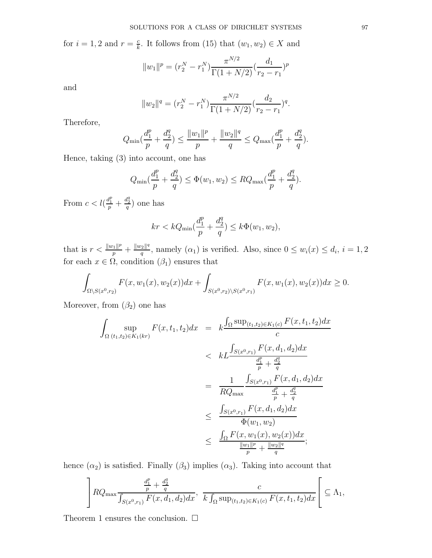for  $i = 1, 2$  and  $r = \frac{c}{k}$  $\frac{c}{k}$ . It follows from (15) that  $(w_1, w_2) \in X$  and

$$
||w_1||^p = (r_2^N - r_1^N) \frac{\pi^{N/2}}{\Gamma(1 + N/2)} (\frac{d_1}{r_2 - r_1})^p
$$

and

$$
||w_2||^q = (r_2^N - r_1^N) \frac{\pi^{N/2}}{\Gamma(1 + N/2)} (\frac{d_2}{r_2 - r_1})^q.
$$

Therefore,

$$
Q_{\min}(\frac{d_1^p}{p} + \frac{d_2^q}{q}) \le \frac{||w_1||^p}{p} + \frac{||w_2||^q}{q} \le Q_{\max}(\frac{d_1^p}{p} + \frac{d_2^q}{q}).
$$

Hence, taking (3) into account, one has

$$
Q_{\min}(\frac{d_1^p}{p} + \frac{d_2^q}{q}) \le \Phi(w_1, w_2) \le RQ_{\max}(\frac{d_1^p}{p} + \frac{d_2^q}{q}).
$$

From  $c < l(\frac{d_1^p}{p} + \frac{d_2^q}{q})$  one has

$$
kr < kQ_{\min}\left(\frac{d_1^p}{p} + \frac{d_2^q}{q}\right) \le k\Phi(w_1, w_2),
$$

that is  $r < \frac{||w_1||^p}{p} + \frac{||w_2||^q}{q}$  $\frac{q_2||^4}{q}$ , namely  $(\alpha_1)$  is verified. Also, since  $0 \leq w_i(x) \leq d_i$ ,  $i = 1, 2$ for each  $x \in \Omega$ , condition  $(\beta_1)$  ensures that

$$
\int_{\Omega \setminus S(x^0,r_2)} F(x,w_1(x),w_2(x))dx + \int_{S(x^0,r_2) \setminus S(x^0,r_1)} F(x,w_1(x),w_2(x))dx \ge 0.
$$

Moreover, from  $(\beta_2)$  one has

$$
\int_{\Omega} \sup_{(t_1,t_2)\in K_1(kr)} F(x,t_1,t_2)dx = k \frac{\int_{\Omega} \sup_{(t_1,t_2)\in K_1(c)} F(x,t_1,t_2)dx}{c}
$$
\n
$$
< k \int_{S(x^0,r_1)} F(x,d_1,d_2)dx
$$
\n
$$
= \frac{1}{RQ_{\max}} \frac{\int_{S(x^0,r_1)} F(x,d_1,d_2)dx}{\frac{d_1^p}{p} + \frac{d_2^q}{q}}
$$
\n
$$
\leq \frac{\int_{S(x^0,r_1)} F(x,d_1,d_2)dx}{\Phi(w_1,w_2)}
$$
\n
$$
\leq \frac{\int_{\Omega} F(x,w_1(x),w_2(x))dx}{\frac{\|w_1\|^p}{p} + \frac{\|w_2\|^q}{q}};
$$

hence  $(\alpha_2)$  is satisfied. Finally  $(\beta_3)$  implies  $(\alpha_3)$ . Taking into account that

$$
\left] RQ_{\max} \frac{\frac{d_1^p}{p} + \frac{d_2^q}{q}}{\int_{S(x^0, r_1)} F(x, d_1, d_2) dx}, \frac{c}{k \int_{\Omega} \sup_{(t_1, t_2) \in K_1(c)} F(x, t_1, t_2) dx} \right[ \subseteq \Lambda_1,
$$

Theorem 1 ensures the conclusion.  $\square$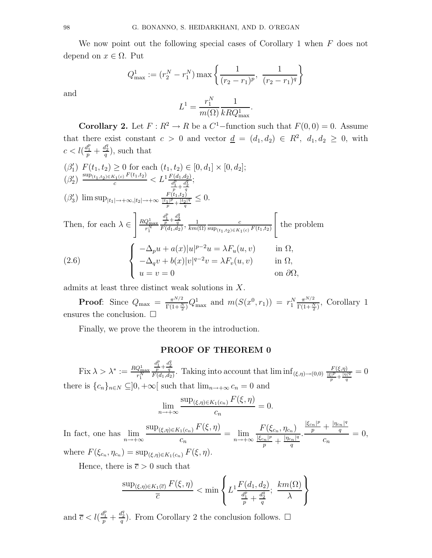We now point out the following special cases of Corollary 1 when  $F$  does not depend on  $x \in \Omega$ . Put

$$
Q_{\max}^{1} := (r_2^{N} - r_1^{N}) \max \left\{ \frac{1}{(r_2 - r_1)^p}, \frac{1}{(r_2 - r_1)^q} \right\}
$$

$$
L^{1} = \frac{r_1^{N}}{m(\Omega)} \frac{1}{kRQ_{\max}^1}.
$$

**Corollary 2.** Let  $F: R^2 \to R$  be a  $C^1$ -function such that  $F(0, 0) = 0$ . Assume that there exist constant  $c > 0$  and vector  $\underline{d} = (d_1, d_2) \in R^2$ ,  $d_1, d_2 \geq 0$ , with  $c < l(\frac{d_1^p}{p} + \frac{d_2^q}{q}),$  such that

$$
\begin{aligned}\n(\beta_1') \quad & F(t_1, t_2) \ge 0 \text{ for each } (t_1, t_2) \in [0, d_1] \times [0, d_2]; \\
(\beta_2') \quad & \xrightarrow{sup_{(t_1, t_2) \in K_1(c)} F(t_1, t_2)} \langle L^1 \frac{F(d_1, d_2)}{\frac{d_1^p}{2} + \frac{d_2^q}{2}}; \\
(\beta_3') \quad & \limsup_{|t_1| \to +\infty, |t_2| \to +\infty} \frac{F(t_1, t_2)}{\frac{[t_1]^p}{p} + \frac{[t_2]^q}{q}} \le 0. \\
\text{Then, for each } \lambda \in \left] \frac{RQ_{\text{max}}^1}{r_1^N} \frac{\frac{d_1^p}{r} + \frac{d_2^q}{q}}{F(d_1, d_2)}, \frac{1}{km(\Omega)} \frac{c}{\sup_{(t_1, t_2) \in K_1(c)} F(t_1, t_2)} \right[ \text{ the problem} \\
(2.6) \quad & \left\{ \begin{array}{ll} -\Delta_p u + a(x)|u|^{p-2}u = \lambda F_u(u, v) & \text{in } \Omega, \\
-\Delta_q v + b(x)|v|^{q-2}v = \lambda F_v(u, v) & \text{in } \Omega, \\
u = v = 0 & \text{on } \partial\Omega,\n\end{array} \right.\n\end{aligned}
$$

admits at least three distinct weak solutions in X.

**Proof:** Since  $Q_{\text{max}} = \frac{\pi^{N/2}}{\Gamma(1+\Delta)}$  $\frac{\pi^{N/2}}{\Gamma(1+\frac{N}{2})}Q_{\text{max}}^1$  and  $m(S(x^0, r_1)) = r_1^N \frac{\pi^{N/2}}{\Gamma(1+\frac{N}{2})}$  $\frac{\pi^{i\sqrt{2}}}{\Gamma(1+\frac{N}{2})}$ , Corollary 1 ensures the conclusion.  $\Box$ 

Finally, we prove the theorem in the introduction.

## PROOF OF THEOREM 0

Fix  $\lambda > \lambda^* := \frac{RQ_{\text{max}}^1}{r_1^N}$  $\frac{d_1^p}{p} + \frac{d_2^q}{q}$ . Taking into account that  $\liminf_{(\xi,\eta) \to (0,0)} \frac{F(\xi,\eta)}{\frac{|\xi|^p}{p} + \frac{|\eta|^q}{q}}$  $\frac{q}{\sqrt{q}}=0$ there is  ${c_n}_{n\in\mathbb{N}} \subseteq ]0, +\infty[$  such that  $\lim_{n\to+\infty} c_n = 0$  and

$$
\lim_{n \to +\infty} \frac{\sup_{(\xi,\eta) \in K_1(c_n)} F(\xi,\eta)}{c_n} = 0.
$$

In fact, one has  $\lim_{n\to+\infty}$  $\sup_{(\xi,\eta)\in K_1(c_n)} F(\xi,\eta)$  $\frac{c_n}{c_n} = \lim_{n \to +\infty}$  $F(\xi_{c_n},\eta_{c_n})$  $\frac{|\xi_{c_n}|^p}{p} + \frac{|\eta_{c_n}|^q}{q}$ q .  $\frac{|\xi_{cn}|^p}{p} + \frac{|\eta_{cn}|^q}{q}$ q  $\overline{c}_n$  $= 0,$ where  $F(\xi_{c_n}, \eta_{c_n}) = \sup_{(\xi,\eta) \in K_1(c_n)} F(\xi, \eta)$ .

Hence, there is  $\bar{c} > 0$  such that

$$
\frac{\sup_{(\xi,\eta)\in K_1(\overline{c})} F(\xi,\eta)}{\overline{c}} < \min\left\{ L^1 \frac{F(d_1,d_2)}{\frac{d_1^p}{p} + \frac{d_2^q}{q}}; \frac{km(\Omega)}{\lambda} \right\}
$$

and  $\overline{c} < l(\frac{d_1^p}{p} + \frac{d_2^q}{q})$ . From Corollary 2 the conclusion follows.  $\Box$ 

and